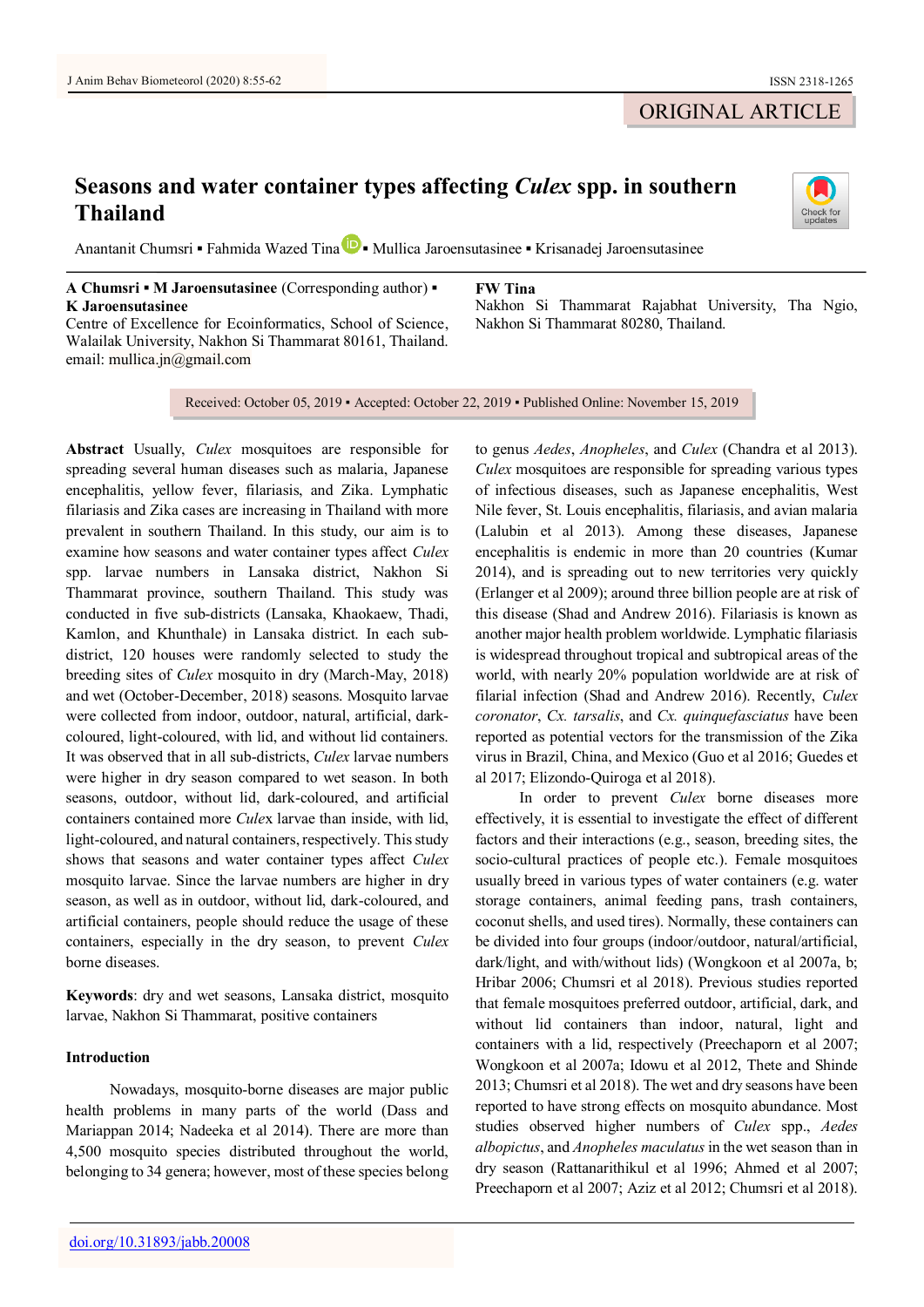# **Seasons and water container types affecting** *Culex* **spp. in southern Thailand**

Anantanit Chumsri **▪** Fahmida Wazed Tin[a](https://orcid.org/0000-0001-9040-8947) **▪** Mullica Jaroensutasinee **▪** Krisanadej Jaroensutasinee

## **A Chumsri ▪ M Jaroensutasinee** (Corresponding author) **▪ K Jaroensutasinee**

Centre of Excellence for Ecoinformatics, School of Science, Walailak University, Nakhon Si Thammarat 80161, Thailand. email: mullica.jn@gmail.com

**FW Tina**

Nakhon Si Thammarat Rajabhat University, Tha Ngio, Nakhon Si Thammarat 80280, Thailand.

Received: October 05, 2019 • Accepted: October 22, 2019 • Published Online: November 15, 2019

**Abstract** Usually, *Culex* mosquitoes are responsible for spreading several human diseases such as malaria, Japanese encephalitis, yellow fever, filariasis, and Zika. Lymphatic filariasis and Zika cases are increasing in Thailand with more prevalent in southern Thailand. In this study, our aim is to examine how seasons and water container types affect *Culex* spp. larvae numbers in Lansaka district, Nakhon Si Thammarat province, southern Thailand. This study was conducted in five sub-districts (Lansaka, Khaokaew, Thadi, Kamlon, and Khunthale) in Lansaka district. In each subdistrict, 120 houses were randomly selected to study the breeding sites of *Culex* mosquito in dry (March-May, 2018) and wet (October-December, 2018) seasons. Mosquito larvae were collected from indoor, outdoor, natural, artificial, darkcoloured, light-coloured, with lid, and without lid containers. It was observed that in all sub-districts, *Culex* larvae numbers were higher in dry season compared to wet season. In both seasons, outdoor, without lid, dark-coloured, and artificial containers contained more *Cule*x larvae than inside, with lid, light-coloured, and natural containers, respectively. This study shows that seasons and water container types affect *Culex* mosquito larvae. Since the larvae numbers are higher in dry season, as well as in outdoor, without lid, dark-coloured, and artificial containers, people should reduce the usage of these containers, especially in the dry season, to prevent *Culex* borne diseases.

**Keywords**: dry and wet seasons, Lansaka district, mosquito larvae, Nakhon Si Thammarat, positive containers

# **Introduction**

Nowadays, mosquito-borne diseases are major public health problems in many parts of the world (Dass and Mariappan 2014; Nadeeka et al 2014). There are more than 4,500 mosquito species distributed throughout the world, belonging to 34 genera; however, most of these species belong

to genus *Aedes*, *Anopheles*, and *Culex* (Chandra et al 2013). *Culex* mosquitoes are responsible for spreading various types of infectious diseases, such as Japanese encephalitis, West Nile fever, St. Louis encephalitis, filariasis, and avian malaria (Lalubin et al 2013). Among these diseases, Japanese encephalitis is endemic in more than 20 countries (Kumar 2014), and is spreading out to new territories very quickly (Erlanger et al 2009); around three billion people are at risk of this disease (Shad and Andrew 2016). Filariasis is known as another major health problem worldwide. Lymphatic filariasis is widespread throughout tropical and subtropical areas of the world, with nearly 20% population worldwide are at risk of filarial infection (Shad and Andrew 2016). Recently, *Culex coronator*, *Cx. tarsalis*, and *Cx. quinquefasciatus* have been reported as potential vectors for the transmission of the Zika virus in Brazil, China, and Mexico (Guo et al 2016; Guedes et al 2017; Elizondo-Quiroga et al 2018).

In order to prevent *Culex* borne diseases more effectively, it is essential to investigate the effect of different factors and their interactions (e.g., season, breeding sites, the socio-cultural practices of people etc.). Female mosquitoes usually breed in various types of water containers (e.g. water storage containers, animal feeding pans, trash containers, coconut shells, and used tires). Normally, these containers can be divided into four groups (indoor/outdoor, natural/artificial, dark/light, and with/without lids) (Wongkoon et al 2007a, b; Hribar 2006; Chumsri et al 2018). Previous studies reported that female mosquitoes preferred outdoor, artificial, dark, and without lid containers than indoor, natural, light and containers with a lid, respectively (Preechaporn et al 2007; Wongkoon et al 2007a; Idowu et al 2012, Thete and Shinde 2013; Chumsri et al 2018). The wet and dry seasons have been reported to have strong effects on mosquito abundance. Most studies observed higher numbers of *Culex* spp., *Aedes albopictus*, and *Anopheles maculatus* in the wet season than in dry season (Rattanarithikul et al 1996; Ahmed et al 2007; Preechaporn et al 2007; Aziz et al 2012; Chumsri et al 2018).

# ORIGINAL ARTICLE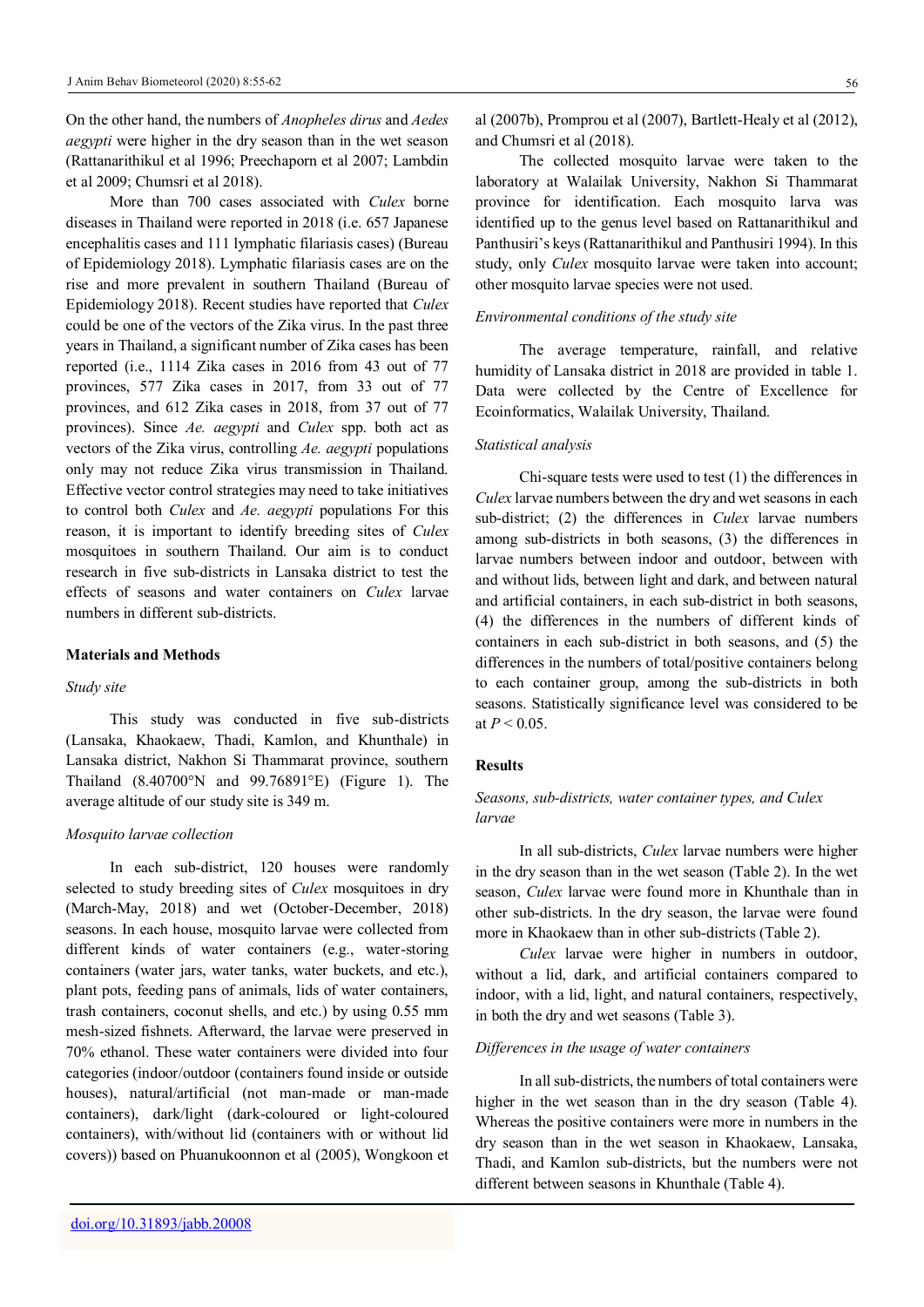On the other hand, the numbers of *Anopheles dirus* and *Aedes aegypti* were higher in the dry season than in the wet season (Rattanarithikul et al 1996; Preechaporn et al 2007; Lambdin et al 2009; Chumsri et al 2018).

More than 700 cases associated with *Culex* borne diseases in Thailand were reported in 2018 (i.e. 657 Japanese encephalitis cases and 111 lymphatic filariasis cases) (Bureau of Epidemiology 2018). Lymphatic filariasis cases are on the rise and more prevalent in southern Thailand (Bureau of Epidemiology 2018). Recent studies have reported that *Culex* could be one of the vectors of the Zika virus. In the past three years in Thailand, a significant number of Zika cases has been reported (i.e., 1114 Zika cases in 2016 from 43 out of 77 provinces, 577 Zika cases in 2017, from 33 out of 77 provinces, and 612 Zika cases in 2018, from 37 out of 77 provinces). Since *Ae. aegypti* and *Culex* spp. both act as vectors of the Zika virus, controlling *Ae. aegypti* populations only may not reduce Zika virus transmission in Thailand. Effective vector control strategies may need to take initiatives to control both *Culex* and *Ae. aegypti* populations For this reason, it is important to identify breeding sites of *Culex* mosquitoes in southern Thailand. Our aim is to conduct research in five sub-districts in Lansaka district to test the effects of seasons and water containers on *Culex* larvae numbers in different sub-districts.

### **Materials and Methods**

#### *Study site*

This study was conducted in five sub-districts (Lansaka, Khaokaew, Thadi, Kamlon, and Khunthale) in Lansaka district, Nakhon Si Thammarat province, southern Thailand (8.40700°N and 99.76891°E) (Figure 1). The average altitude of our study site is 349 m.

#### *Mosquito larvae collection*

In each sub-district, 120 houses were randomly selected to study breeding sites of *Culex* mosquitoes in dry (March-May, 2018) and wet (October-December, 2018) seasons. In each house, mosquito larvae were collected from different kinds of water containers (e.g., water-storing containers (water jars, water tanks, water buckets, and etc.), plant pots, feeding pans of animals, lids of water containers, trash containers, coconut shells, and etc.) by using 0.55 mm mesh-sized fishnets. Afterward, the larvae were preserved in 70% ethanol. These water containers were divided into four categories (indoor/outdoor (containers found inside or outside houses), natural/artificial (not man-made or man-made containers), dark/light (dark-coloured or light-coloured containers), with/without lid (containers with or without lid covers)) based on Phuanukoonnon et al (2005), Wongkoon et

al (2007b), Promprou et al (2007), Bartlett-Healy et al (2012), and Chumsri et al (2018).

The collected mosquito larvae were taken to the laboratory at Walailak University, Nakhon Si Thammarat province for identification. Each mosquito larva was identified up to the genus level based on Rattanarithikul and Panthusiri's keys (Rattanarithikul and Panthusiri 1994). In this study, only *Culex* mosquito larvae were taken into account; other mosquito larvae species were not used.

#### *Environmental conditions of the study site*

The average temperature, rainfall, and relative humidity of Lansaka district in 2018 are provided in table 1. Data were collected by the Centre of Excellence for Ecoinformatics, Walailak University, Thailand.

### *Statistical analysis*

Chi-square tests were used to test (1) the differences in *Culex* larvae numbers between the dry and wet seasons in each sub-district; (2) the differences in *Culex* larvae numbers among sub-districts in both seasons, (3) the differences in larvae numbers between indoor and outdoor, between with and without lids, between light and dark, and between natural and artificial containers, in each sub-district in both seasons, (4) the differences in the numbers of different kinds of containers in each sub-district in both seasons, and (5) the differences in the numbers of total/positive containers belong to each container group, among the sub-districts in both seasons. Statistically significance level was considered to be at  $P < 0.05$ .

#### **Results**

## *Seasons, sub-districts, water container types, and Culex larvae*

In all sub-districts, *Culex* larvae numbers were higher in the dry season than in the wet season (Table 2). In the wet season, *Culex* larvae were found more in Khunthale than in other sub-districts. In the dry season, the larvae were found more in Khaokaew than in other sub-districts (Table 2).

*Culex* larvae were higher in numbers in outdoor, without a lid, dark, and artificial containers compared to indoor, with a lid, light, and natural containers, respectively, in both the dry and wet seasons (Table 3).

### *Differences in the usage of water containers*

In all sub-districts, the numbers of total containers were higher in the wet season than in the dry season (Table 4). Whereas the positive containers were more in numbers in the dry season than in the wet season in Khaokaew, Lansaka, Thadi, and Kamlon sub-districts, but the numbers were not different between seasons in Khunthale (Table 4).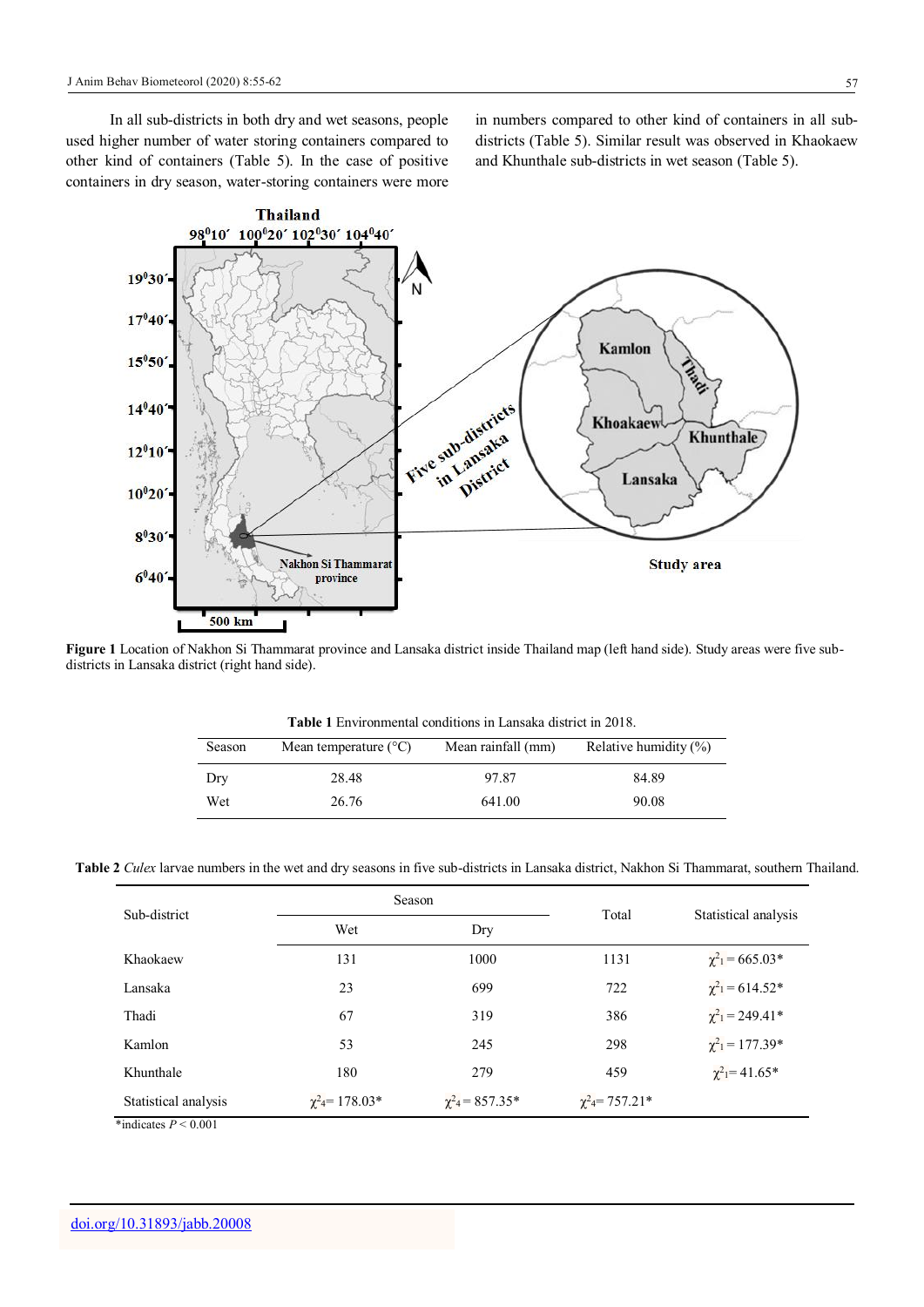In all sub-districts in both dry and wet seasons, people used higher number of water storing containers compared to other kind of containers (Table 5). In the case of positive containers in dry season, water-storing containers were more

in numbers compared to other kind of containers in all subdistricts (Table 5). Similar result was observed in Khaokaew and Khunthale sub-districts in wet season (Table 5).



**Figure 1** Location of Nakhon Si Thammarat province and Lansaka district inside Thailand map (left hand side). Study areas were five subdistricts in Lansaka district (right hand side).

|        | <b>Table 1</b> Environmental conditions in Lansaka district in 2018. |                    |                          |  |  |  |  |  |  |
|--------|----------------------------------------------------------------------|--------------------|--------------------------|--|--|--|--|--|--|
| Season | Mean temperature $(^{\circ}C)$                                       | Mean rainfall (mm) | Relative humidity $(\%)$ |  |  |  |  |  |  |
| Dry    | 28.48                                                                | 97.87              | 84.89                    |  |  |  |  |  |  |
| Wet    | 26.76                                                                | 641.00             | 90.08                    |  |  |  |  |  |  |

**Table 2** *Culex* larvae numbers in the wet and dry seasons in five sub-districts in Lansaka district, Nakhon Si Thammarat, southern Thailand.

| Sub-district         |                                | Season                  | Total                          | Statistical analysis            |  |
|----------------------|--------------------------------|-------------------------|--------------------------------|---------------------------------|--|
|                      | Wet                            | Dry                     |                                |                                 |  |
| Khaokaew             | 131                            | 1000                    | 1131                           | $\chi^2$ <sub>1</sub> = 665.03* |  |
| Lansaka              | 23                             | 699                     | 722                            | $\chi^2_1$ = 614.52*            |  |
| Thadi                | 67                             | 319                     | 386                            | $\chi^2 = 249.41^*$             |  |
| Kamlon               | 53                             | 245                     | 298                            | $\chi^2_1$ = 177.39*            |  |
| Khunthale            | 180                            | 279                     | 459                            | $\chi^2$ <sub>1</sub> = 41.65*  |  |
| Statistical analysis | $\chi^2$ <sub>4</sub> =178.03* | $\chi^2_{4} = 857.35^*$ | $\chi^2$ <sub>4</sub> =757.21* |                                 |  |

\*indicates  $P < 0.001$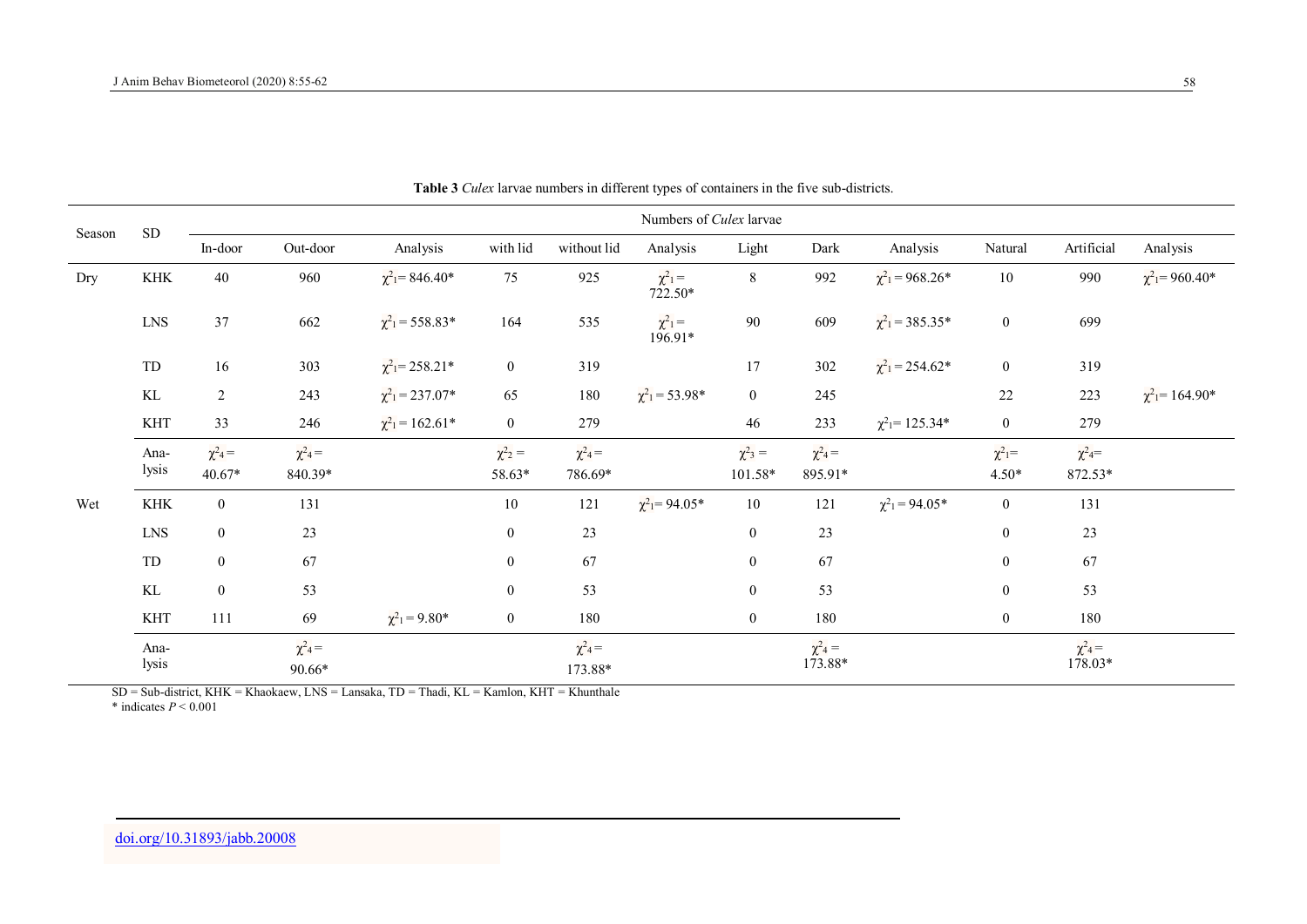| Season | ${\rm SD}$           | Numbers of Culex larvae      |                             |                                             |                            |                                    |                                |                                    |                                    |                                 |                                    |                                    |                                             |
|--------|----------------------|------------------------------|-----------------------------|---------------------------------------------|----------------------------|------------------------------------|--------------------------------|------------------------------------|------------------------------------|---------------------------------|------------------------------------|------------------------------------|---------------------------------------------|
|        |                      | In-door                      | Out-door                    | Analysis                                    | with lid                   | without lid                        | Analysis                       | Light                              | Dark                               | Analysis                        | Natural                            | Artificial                         | Analysis                                    |
| Dry    | $\operatorname{KHK}$ | 40                           | 960                         | $\chi^2$ <sub>1</sub> = 846.40 <sup>*</sup> | 75                         | 925                                | $\chi^2_1 =$<br>722.50*        | 8                                  | 992                                | $\chi^2$ <sub>1</sub> = 968.26* | 10                                 | 990                                | $\chi^2$ <sub>1</sub> = 960.40 <sup>*</sup> |
|        | <b>LNS</b>           | 37                           | 662                         | $\chi^2$ <sub>1</sub> = 558.83*             | 164                        | 535                                | $\chi^2_1 =$<br>196.91*        | 90                                 | 609                                | $\chi^2$ <sub>1</sub> = 385.35* | $\mathbf{0}$                       | 699                                |                                             |
|        | ${\rm TD}$           | 16                           | 303                         | $\chi^2$ <sub>1</sub> = 258.21*             | $\bf{0}$                   | 319                                |                                | 17                                 | 302                                | $\chi^2$ <sub>1</sub> = 254.62* | $\mathbf{0}$                       | 319                                |                                             |
|        | KL                   | $\overline{2}$               | 243                         | $\chi^2$ <sub>1</sub> = 237.07*             | 65                         | 180                                | $\chi^2$ <sub>1</sub> = 53.98* | $\overline{0}$                     | 245                                |                                 | 22                                 | 223                                | $\chi^2$ <sub>1</sub> =164.90*              |
|        | <b>KHT</b>           | 33                           | 246                         | $\chi^2$ <sub>1</sub> = 162.61*             | $\bf{0}$                   | 279                                |                                | 46                                 | 233                                | $\chi^2$ <sub>1</sub> = 125.34* | $\mathbf{0}$                       | 279                                |                                             |
|        | Ana-<br>lysis        | $\chi^2{}_{4}$ =<br>$40.67*$ | $\chi^2{}_{4}$ =<br>840.39* |                                             | $\chi^2{}_{2}$ =<br>58.63* | $\chi^2$ <sub>4</sub> =<br>786.69* |                                | $\chi^2$ <sub>3</sub> =<br>101.58* | $\chi^2$ <sub>4</sub> =<br>895.91* |                                 | $\chi^2$ <sub>1</sub> =<br>$4.50*$ | $\chi^2{}_{4}$ =<br>872.53*        |                                             |
| Wet    | $\operatorname{KHK}$ | $\overline{0}$               | 131                         |                                             | $10\,$                     | 121                                | $\chi^2$ <sub>1</sub> = 94.05* | $10\,$                             | 121                                | $\chi^2$ <sub>1</sub> = 94.05*  | $\mathbf{0}$                       | 131                                |                                             |
|        | ${\rm LNS}$          | $\overline{0}$               | 23                          |                                             | $\boldsymbol{0}$           | 23                                 |                                | $\boldsymbol{0}$                   | 23                                 |                                 | $\boldsymbol{0}$                   | 23                                 |                                             |
|        | ${\rm TD}$           | $\bf{0}$                     | 67                          |                                             | $\boldsymbol{0}$           | 67                                 |                                | $\boldsymbol{0}$                   | 67                                 |                                 | $\boldsymbol{0}$                   | 67                                 |                                             |
|        | KL                   | $\overline{0}$               | 53                          |                                             | $\boldsymbol{0}$           | 53                                 |                                | $\boldsymbol{0}$                   | 53                                 |                                 | $\boldsymbol{0}$                   | 53                                 |                                             |
|        | <b>KHT</b>           | 111                          | 69                          | $\chi^2$ <sub>1</sub> = 9.80*               | $\boldsymbol{0}$           | 180                                |                                | $\overline{0}$                     | 180                                |                                 | $\boldsymbol{0}$                   | 180                                |                                             |
|        | Ana-<br>lysis        |                              | $\chi^2{}_{4}$ =<br>90.66*  |                                             |                            | $\chi^2{}_{4}$ =<br>173.88*        |                                |                                    | $\chi^2$ <sub>4</sub> =<br>173.88* |                                 |                                    | $\chi^2$ <sub>4</sub> =<br>178.03* |                                             |

**Table 3** *Culex* larvae numbers in different types of containers in the five sub-districts.

SD = Sub-district, KHK = Khaokaew, LNS = Lansaka, TD = Thadi, KL = Kamlon, KHT = Khunthale \* indicates  $P \le 0.001$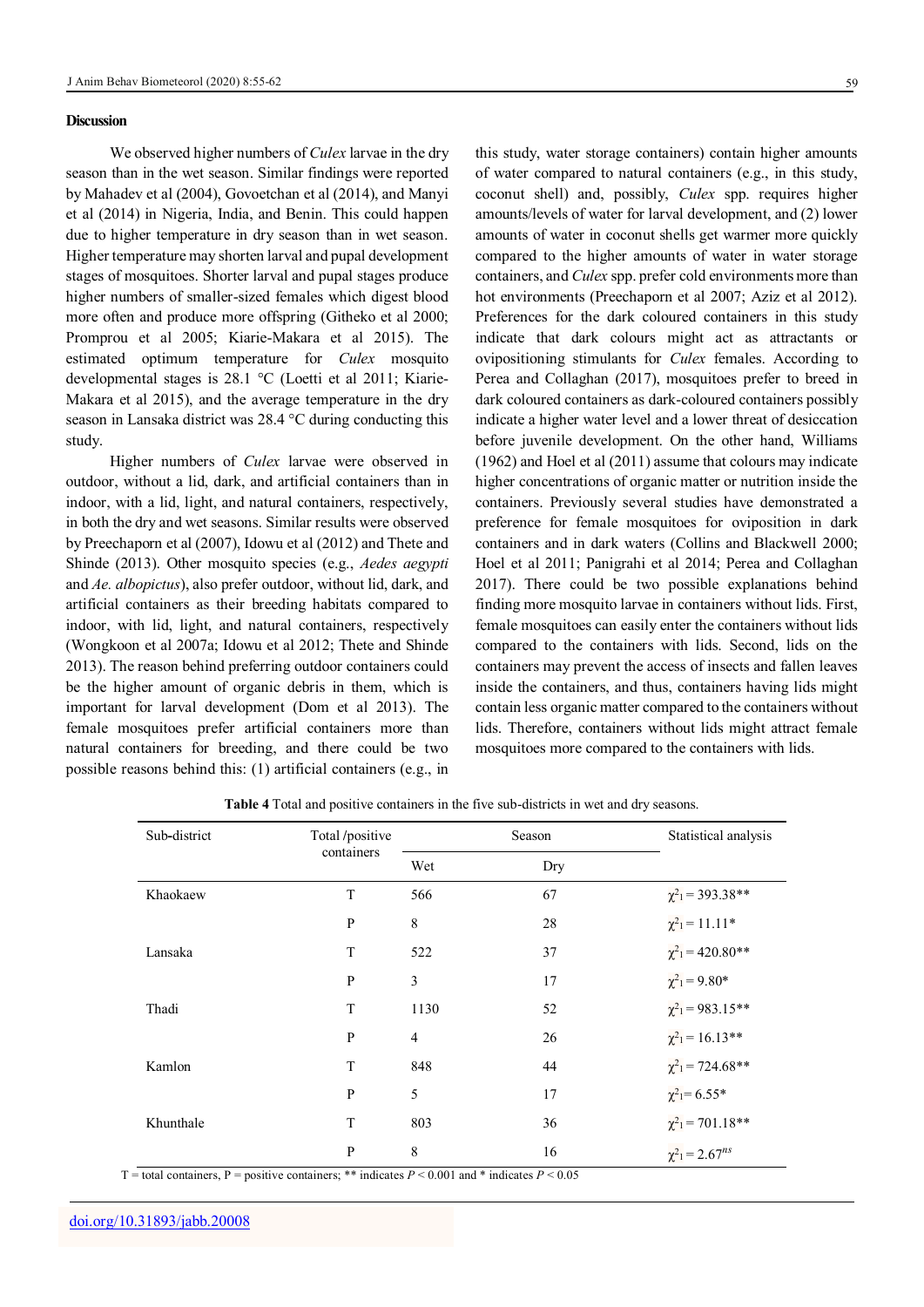#### **Discussion**

We observed higher numbers of *Culex* larvae in the dry season than in the wet season. Similar findings were reported by Mahadev et al (2004), Govoetchan et al (2014), and Manyi et al (2014) in Nigeria, India, and Benin. This could happen due to higher temperature in dry season than in wet season. Higher temperature may shorten larval and pupal development stages of mosquitoes. Shorter larval and pupal stages produce higher numbers of smaller-sized females which digest blood more often and produce more offspring (Githeko et al 2000; Promprou et al 2005; Kiarie-Makara et al 2015). The estimated optimum temperature for *Culex* mosquito developmental stages is 28.1 °C (Loetti et al 2011; Kiarie-Makara et al 2015), and the average temperature in the dry season in Lansaka district was 28.4 °C during conducting this study.

Higher numbers of *Culex* larvae were observed in outdoor, without a lid, dark, and artificial containers than in indoor, with a lid, light, and natural containers, respectively, in both the dry and wet seasons. Similar results were observed by Preechaporn et al (2007), Idowu et al (2012) and Thete and Shinde (2013). Other mosquito species (e.g., *Aedes aegypti* and *Ae. albopictus*), also prefer outdoor, without lid, dark, and artificial containers as their breeding habitats compared to indoor, with lid, light, and natural containers, respectively (Wongkoon et al 2007a; Idowu et al 2012; Thete and Shinde 2013). The reason behind preferring outdoor containers could be the higher amount of organic debris in them, which is important for larval development (Dom et al 2013). The female mosquitoes prefer artificial containers more than natural containers for breeding, and there could be two possible reasons behind this: (1) artificial containers (e.g., in

this study, water storage containers) contain higher amounts of water compared to natural containers (e.g., in this study, coconut shell) and, possibly, *Culex* spp. requires higher amounts/levels of water for larval development, and (2) lower amounts of water in coconut shells get warmer more quickly compared to the higher amounts of water in water storage containers, and *Culex* spp. prefer cold environments more than hot environments (Preechaporn et al 2007; Aziz et al 2012). Preferences for the dark coloured containers in this study indicate that dark colours might act as attractants or ovipositioning stimulants for *Culex* females. According to Perea and Collaghan (2017), mosquitoes prefer to breed in dark coloured containers as dark-coloured containers possibly indicate a higher water level and a lower threat of desiccation before juvenile development. On the other hand, Williams (1962) and Hoel et al (2011) assume that colours may indicate higher concentrations of organic matter or nutrition inside the containers. Previously several studies have demonstrated a preference for female mosquitoes for oviposition in dark containers and in dark waters (Collins and Blackwell 2000; Hoel et al 2011; Panigrahi et al 2014; Perea and Collaghan 2017). There could be two possible explanations behind finding more mosquito larvae in containers without lids. First, female mosquitoes can easily enter the containers without lids compared to the containers with lids. Second, lids on the containers may prevent the access of insects and fallen leaves inside the containers, and thus, containers having lids might contain less organic matter compared to the containers without lids. Therefore, containers without lids might attract female mosquitoes more compared to the containers with lids.

| Sub-district | Total /positive |                | Season | Statistical analysis             |  |  |
|--------------|-----------------|----------------|--------|----------------------------------|--|--|
|              | containers      | Wet            | Dry    |                                  |  |  |
| Khaokaew     | T               | 566            | 67     | $\chi^2$ <sub>1</sub> = 393.38** |  |  |
|              | $\mathbf{P}$    | 8              | 28     | $\chi^2 = 11.11^*$               |  |  |
| Lansaka      | T               | 522            | 37     | $\chi^2$ <sub>1</sub> = 420.80** |  |  |
|              | $\mathbf{P}$    | 3              | 17     | $\chi^2_1 = 9.80^*$              |  |  |
| Thadi        | T               | 1130           | 52     | $\chi^2$ <sub>1</sub> = 983.15** |  |  |
|              | $\mathbf{P}$    | $\overline{4}$ | 26     | $\chi^2 = 16.13**$               |  |  |
| Kamlon       | T               | 848            | 44     | $\chi^2$ <sub>1</sub> = 724.68** |  |  |
|              | $\mathbf{P}$    | 5              | 17     | $\chi^2$ <sub>1</sub> =6.55*     |  |  |
| Khunthale    | T               | 803            | 36     | $\chi^2$ <sub>1</sub> = 701.18** |  |  |
|              | ${\bf P}$       | 8              | 16     | $\chi^2_1 = 2.67^{ns}$           |  |  |

**Table 4** Total and positive containers in the five sub-districts in wet and dry seasons.

T = total containers, P = positive containers; \*\* indicates  $P \le 0.001$  and \* indicates  $P \le 0.05$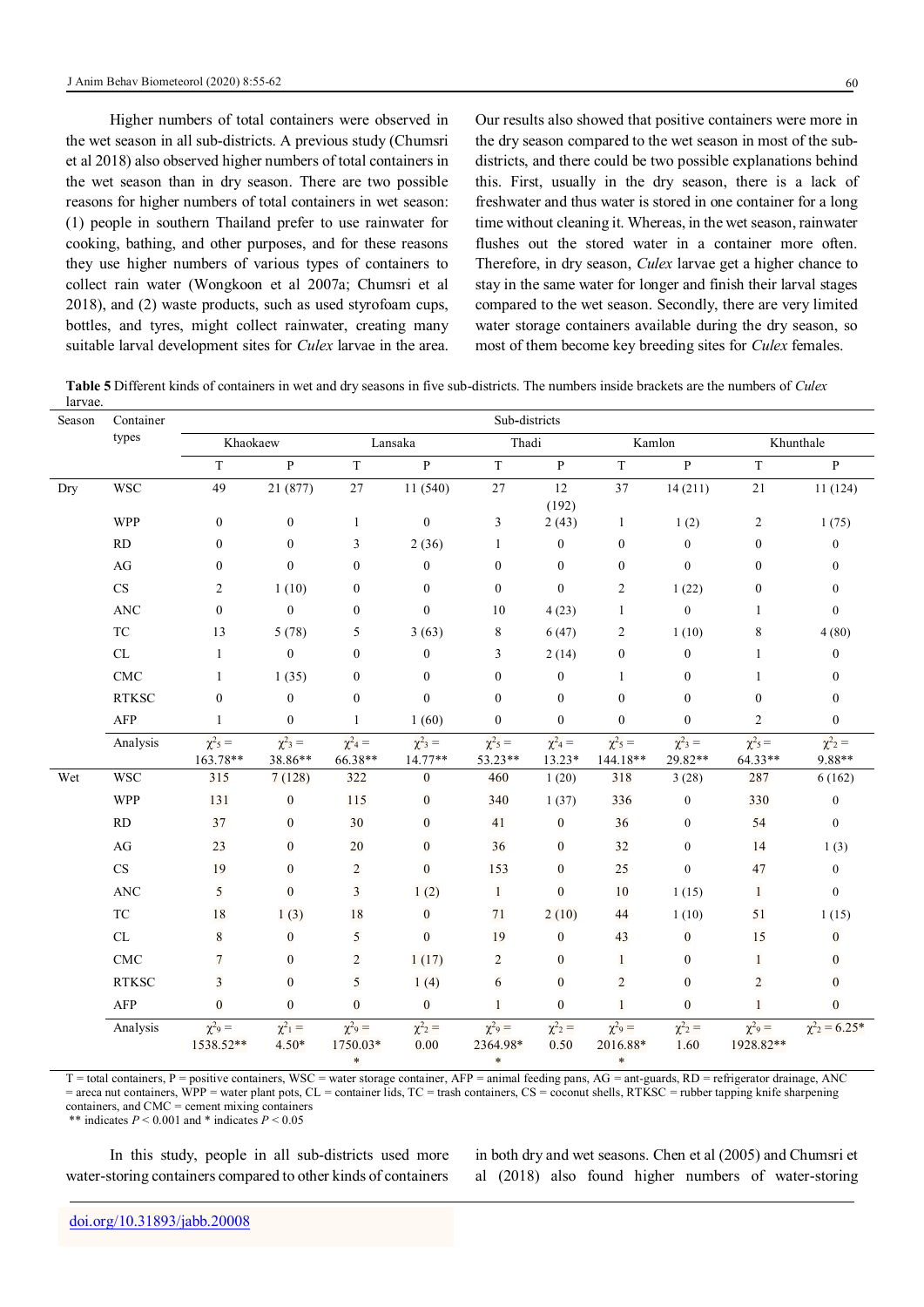Higher numbers of total containers were observed in the wet season in all sub-districts. A previous study (Chumsri et al 2018) also observed higher numbers of total containers in the wet season than in dry season. There are two possible reasons for higher numbers of total containers in wet season: (1) people in southern Thailand prefer to use rainwater for cooking, bathing, and other purposes, and for these reasons they use higher numbers of various types of containers to collect rain water (Wongkoon et al 2007a; Chumsri et al 2018), and (2) waste products, such as used styrofoam cups, bottles, and tyres, might collect rainwater, creating many suitable larval development sites for *Culex* larvae in the area.

Our results also showed that positive containers were more in the dry season compared to the wet season in most of the subdistricts, and there could be two possible explanations behind this. First, usually in the dry season, there is a lack of freshwater and thus water is stored in one container for a long time without cleaning it. Whereas, in the wet season, rainwater flushes out the stored water in a container more often. Therefore, in dry season, *Culex* larvae get a higher chance to stay in the same water for longer and finish their larval stages compared to the wet season. Secondly, there are very limited water storage containers available during the dry season, so most of them become key breeding sites for *Culex* females.

**Table 5** Different kinds of containers in wet and dry seasons in five sub-districts. The numbers inside brackets are the numbers of *Culex* larvae.

| Season | Container<br>types                | Sub-districts                        |                                    |                                               |                                     |                                               |                                 |                                               |                                    |                                      |                                           |
|--------|-----------------------------------|--------------------------------------|------------------------------------|-----------------------------------------------|-------------------------------------|-----------------------------------------------|---------------------------------|-----------------------------------------------|------------------------------------|--------------------------------------|-------------------------------------------|
|        |                                   | Khaokaew                             |                                    |                                               | Lansaka                             |                                               | Thadi                           |                                               | Kamlon                             | Khunthale                            |                                           |
|        |                                   | $\bar{T}$                            | $\, {\bf p}$                       | $\overline{T}$                                | $\overline{P}$                      | $\bar{T}$                                     | $\, {\bf p}$                    | $\rm T$                                       | $\overline{P}$                     | $\mathbf T$                          | $\, {\bf p}$                              |
| Dry    | <b>WSC</b>                        | 49                                   | 21 (877)                           | 27                                            | 11 (540)                            | 27                                            | 12<br>(192)                     | 37                                            | 14(211)                            | $21\,$                               | 11(124)                                   |
|        | <b>WPP</b>                        | $\boldsymbol{0}$                     | $\boldsymbol{0}$                   | $\mathbf{1}$                                  | $\boldsymbol{0}$                    | $\mathfrak{Z}$                                | 2(43)                           | $\mathbf{1}$                                  | 1(2)                               | $\overline{c}$                       | 1(75)                                     |
|        | RD                                | $\boldsymbol{0}$                     | $\boldsymbol{0}$                   | 3                                             | 2(36)                               | 1                                             | $\boldsymbol{0}$                | $\boldsymbol{0}$                              | $\boldsymbol{0}$                   | $\boldsymbol{0}$                     | $\boldsymbol{0}$                          |
|        | $\rm{AG}$                         | $\mathbf{0}$                         | $\mathbf{0}$                       | $\mathbf{0}$                                  | $\boldsymbol{0}$                    | $\mathbf{0}$                                  | $\mathbf{0}$                    | $\boldsymbol{0}$                              | $\mathbf{0}$                       | $\mathbf{0}$                         | $\overline{0}$                            |
|        | $\mathop{\rm CS}\nolimits$        | $\overline{c}$                       | 1(10)                              | $\mathbf{0}$                                  | $\boldsymbol{0}$                    | $\boldsymbol{0}$                              | $\boldsymbol{0}$                | $\overline{c}$                                | 1(22)                              | $\boldsymbol{0}$                     | $\boldsymbol{0}$                          |
|        | <b>ANC</b>                        | $\mathbf{0}$                         | $\mathbf{0}$                       | $\mathbf{0}$                                  | $\boldsymbol{0}$                    | 10                                            | 4(23)                           | $\mathbf{1}$                                  | $\mathbf{0}$                       | $\mathbf{1}$                         | $\overline{0}$                            |
|        | <b>TC</b>                         | 13                                   | 5(78)                              | 5                                             | 3(63)                               | 8                                             | 6(47)                           | $\overline{c}$                                | 1(10)                              | 8                                    | 4(80)                                     |
|        | $\ensuremath{\textup{CL}}\xspace$ | 1                                    | $\mathbf{0}$                       | $\mathbf{0}$                                  | $\boldsymbol{0}$                    | 3                                             | 2(14)                           | $\boldsymbol{0}$                              | $\boldsymbol{0}$                   | 1                                    | $\boldsymbol{0}$                          |
|        | $\ensuremath{\mathrm{CMC}}$       | 1                                    | 1(35)                              | $\boldsymbol{0}$                              | $\boldsymbol{0}$                    | $\boldsymbol{0}$                              | $\boldsymbol{0}$                | 1                                             | $\boldsymbol{0}$                   | $\mathbf{1}$                         | $\mathbf{0}$                              |
|        | <b>RTKSC</b>                      | $\boldsymbol{0}$                     | $\boldsymbol{0}$                   | $\boldsymbol{0}$                              | $\boldsymbol{0}$                    | $\mathbf{0}$                                  | $\boldsymbol{0}$                | $\boldsymbol{0}$                              | $\boldsymbol{0}$                   | $\boldsymbol{0}$                     | $\boldsymbol{0}$                          |
|        | AFP                               | $\mathbf{1}$                         | $\mathbf{0}$                       | 1                                             | 1(60)                               | $\mathbf{0}$                                  | $\boldsymbol{0}$                | $\mathbf{0}$                                  | $\boldsymbol{0}$                   | $\sqrt{2}$                           | $\boldsymbol{0}$                          |
|        | Analysis                          | $\chi^2$ <sub>5</sub> =<br>163.78**  | $\chi^2$ <sub>3</sub> =<br>38.86** | $\chi^2{}_{4} =$<br>66.38**                   | $\chi^2$ <sub>3</sub> =<br>14.77**  | $\chi^2$ <sub>5</sub> =<br>53.23**            | $\chi^2{}_{4} =$<br>$13.23*$    | $\chi^2$ <sub>5</sub> =<br>144.18**           | $\chi^2$ <sub>3</sub> =<br>29.82** | $\chi^2$ <sub>5</sub> =<br>64.33**   | $\chi^2$ <sub>2</sub> =<br>9.88**         |
| Wet    | <b>WSC</b>                        | 315                                  | 7(128)                             | 322                                           | $\boldsymbol{0}$                    | 460                                           | 1(20)                           | 318                                           | 3(28)                              | 287                                  | 6(162)                                    |
|        | <b>WPP</b>                        | 131                                  | $\boldsymbol{0}$                   | 115                                           | $\boldsymbol{0}$                    | 340                                           | 1(37)                           | 336                                           | $\boldsymbol{0}$                   | 330                                  | $\boldsymbol{0}$                          |
|        | RD                                | 37                                   | $\boldsymbol{0}$                   | 30                                            | $\boldsymbol{0}$                    | 41                                            | $\boldsymbol{0}$                | 36                                            | $\boldsymbol{0}$                   | 54                                   | $\mathbf{0}$                              |
|        | AG                                | 23                                   | $\mathbf{0}$                       | 20                                            | $\mathbf{0}$                        | 36                                            | $\boldsymbol{0}$                | 32                                            | $\boldsymbol{0}$                   | 14                                   | 1(3)                                      |
|        | $\mathbf{C}\mathbf{S}$            | 19                                   | $\mathbf{0}$                       | $\overline{c}$                                | $\boldsymbol{0}$                    | 153                                           | $\boldsymbol{0}$                | 25                                            | $\boldsymbol{0}$                   | 47                                   | $\boldsymbol{0}$                          |
|        | <b>ANC</b>                        | 5                                    | $\mathbf{0}$                       | 3                                             | 1(2)                                | 1                                             | $\boldsymbol{0}$                | $10\,$                                        | 1(15)                              | $\mathbf{1}$                         | $\overline{0}$                            |
|        | <b>TC</b>                         | $18\,$                               | 1(3)                               | 18                                            | $\boldsymbol{0}$                    | 71                                            | 2(10)                           | 44                                            | 1(10)                              | 51                                   | 1(15)                                     |
|        | $\ensuremath{\textup{CL}}\xspace$ | 8                                    | $\boldsymbol{0}$                   | 5                                             | $\boldsymbol{0}$                    | 19                                            | $\boldsymbol{0}$                | 43                                            | $\boldsymbol{0}$                   | 15                                   | $\boldsymbol{0}$                          |
|        | $\ensuremath{\mathrm{CMC}}$       | $7\phantom{.0}$                      | $\boldsymbol{0}$                   | $\sqrt{2}$                                    | 1(17)                               | $\overline{c}$                                | $\boldsymbol{0}$                | $\mathbf{1}$                                  | $\boldsymbol{0}$                   | $\mathbf{1}$                         | $\overline{0}$                            |
|        | <b>RTKSC</b>                      | 3                                    | $\boldsymbol{0}$                   | 5                                             | 1(4)                                | 6                                             | $\boldsymbol{0}$                | $\overline{c}$                                | $\boldsymbol{0}$                   | $\overline{c}$                       | $\boldsymbol{0}$                          |
|        | AFP                               | $\mathbf{0}$                         | $\mathbf{0}$                       | $\mathbf{0}$                                  | $\boldsymbol{0}$                    | 1                                             | $\boldsymbol{0}$                | $\mathbf{1}$                                  | $\boldsymbol{0}$                   | 1                                    | $\boldsymbol{0}$                          |
|        | Analysis                          | $\chi^2$ <sub>9</sub> =<br>1538.52** | $\chi^2_1 =$<br>$4.50*$            | $\chi^2$ <sub>9</sub> =<br>1750.03*<br>$\ast$ | $\chi^2$ <sub>2</sub> =<br>$0.00\,$ | $\chi^2$ <sub>9</sub> =<br>2364.98*<br>$\ast$ | $\chi^2$ <sub>2</sub> =<br>0.50 | $\chi^2$ <sub>9</sub> =<br>2016.88*<br>$\ast$ | $\chi^2$ <sub>2</sub> =<br>1.60    | $\chi^2$ <sub>9</sub> =<br>1928.82** | $\chi^2$ <sub>2</sub> = 6.25 <sup>*</sup> |

T = total containers, P = positive containers, WSC = water storage container, AFP = animal feeding pans, AG = ant-guards, RD = refrigerator drainage, ANC = areca nut containers, WPP = water plant pots, CL = container lids, TC = trash containers, CS = coconut shells, RTKSC = rubber tapping knife sharpening containers, and CMC = cement mixing containers

\*\* indicates  $P < 0.001$  and \* indicates  $P < 0.05$ 

In this study, people in all sub-districts used more water-storing containers compared to other kinds of containers

in both dry and wet seasons. Chen et al (2005) and Chumsri et al (2018) also found higher numbers of water-storing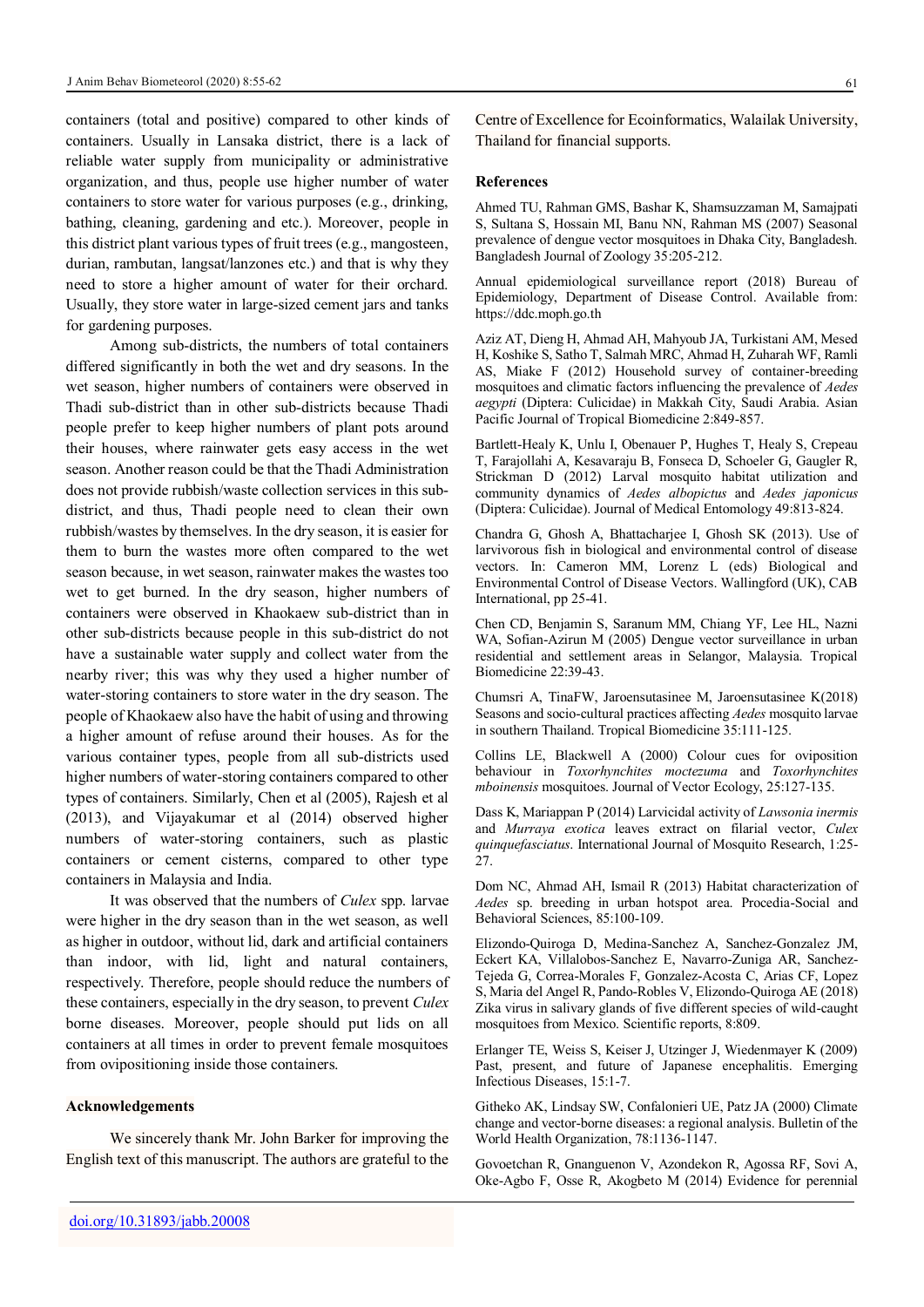containers (total and positive) compared to other kinds of containers. Usually in Lansaka district, there is a lack of reliable water supply from municipality or administrative organization, and thus, people use higher number of water containers to store water for various purposes (e.g., drinking, bathing, cleaning, gardening and etc.). Moreover, people in this district plant various types of fruit trees (e.g., mangosteen, durian, rambutan, langsat/lanzones etc.) and that is why they need to store a higher amount of water for their orchard. Usually, they store water in large-sized cement jars and tanks for gardening purposes.

Among sub-districts, the numbers of total containers differed significantly in both the wet and dry seasons. In the wet season, higher numbers of containers were observed in Thadi sub-district than in other sub-districts because Thadi people prefer to keep higher numbers of plant pots around their houses, where rainwater gets easy access in the wet season. Another reason could be that the Thadi Administration does not provide rubbish/waste collection services in this subdistrict, and thus, Thadi people need to clean their own rubbish/wastes by themselves. In the dry season, it is easier for them to burn the wastes more often compared to the wet season because, in wet season, rainwater makes the wastes too wet to get burned. In the dry season, higher numbers of containers were observed in Khaokaew sub-district than in other sub-districts because people in this sub-district do not have a sustainable water supply and collect water from the nearby river; this was why they used a higher number of water-storing containers to store water in the dry season. The people of Khaokaew also have the habit of using and throwing a higher amount of refuse around their houses. As for the various container types, people from all sub-districts used higher numbers of water-storing containers compared to other types of containers. Similarly, Chen et al (2005), Rajesh et al (2013), and Vijayakumar et al (2014) observed higher numbers of water-storing containers, such as plastic containers or cement cisterns, compared to other type containers in Malaysia and India.

It was observed that the numbers of *Culex* spp. larvae were higher in the dry season than in the wet season, as well as higher in outdoor, without lid, dark and artificial containers than indoor, with lid, light and natural containers, respectively. Therefore, people should reduce the numbers of these containers, especially in the dry season, to prevent *Culex* borne diseases. Moreover, people should put lids on all containers at all times in order to prevent female mosquitoes from ovipositioning inside those containers.

#### **Acknowledgements**

We sincerely thank Mr. John Barker for improving the English text of this manuscript. The authors are grateful to the Centre of Excellence for Ecoinformatics, Walailak University, Thailand for financial supports.

#### **References**

Ahmed TU, Rahman GMS, Bashar K, Shamsuzzaman M, Samajpati S, Sultana S, Hossain MI, Banu NN, Rahman MS (2007) Seasonal prevalence of dengue vector mosquitoes in Dhaka City, Bangladesh. Bangladesh Journal of Zoology 35:205-212.

Annual epidemiological surveillance report (2018) Bureau of Epidemiology, Department of Disease Control. Available from: https://ddc.moph.go.th

Aziz AT, Dieng H, Ahmad AH, Mahyoub JA, Turkistani AM, Mesed H, Koshike S, Satho T, Salmah MRC, Ahmad H, Zuharah WF, Ramli AS, Miake F (2012) Household survey of container-breeding mosquitoes and climatic factors influencing the prevalence of *Aedes aegypti* (Diptera: Culicidae) in Makkah City, Saudi Arabia. Asian Pacific Journal of Tropical Biomedicine 2:849-857.

Bartlett-Healy K, Unlu I, Obenauer P, Hughes T, Healy S, Crepeau T, Farajollahi A, Kesavaraju B, Fonseca D, Schoeler G, Gaugler R, Strickman D (2012) Larval mosquito habitat utilization and community dynamics of *Aedes albopictus* and *Aedes japonicus* (Diptera: Culicidae). Journal of Medical Entomology 49:813-824.

Chandra G, Ghosh A, Bhattacharjee I, Ghosh SK (2013). Use of larvivorous fish in biological and environmental control of disease vectors. In: Cameron MM, Lorenz L (eds) Biological and Environmental Control of Disease Vectors. Wallingford (UK), CAB International, pp 25-41.

Chen CD, Benjamin S, Saranum MM, Chiang YF, Lee HL, Nazni WA, Sofian-Azirun M (2005) Dengue vector surveillance in urban residential and settlement areas in Selangor, Malaysia. Tropical Biomedicine 22:39-43.

Chumsri A, TinaFW, Jaroensutasinee M, Jaroensutasinee K(2018) Seasons and socio-cultural practices affecting *Aedes* mosquito larvae in southern Thailand. Tropical Biomedicine 35:111-125.

Collins LE, Blackwell A (2000) Colour cues for oviposition behaviour in *Toxorhynchites moctezuma* and *Toxorhynchites mboinensis* mosquitoes. Journal of Vector Ecology, 25:127-135.

Dass K, Mariappan P (2014) Larvicidal activity of *Lawsonia inermis* and *Murraya exotica* leaves extract on filarial vector, *Culex quinquefasciatus*. International Journal of Mosquito Research, 1:25- 27.

Dom NC, Ahmad AH, Ismail R (2013) Habitat characterization of *Aedes* sp. breeding in urban hotspot area. Procedia-Social and Behavioral Sciences, 85:100-109.

Elizondo-Quiroga D, Medina-Sanchez A, Sanchez-Gonzalez JM, Eckert KA, Villalobos-Sanchez E, Navarro-Zuniga AR, Sanchez-Tejeda G, Correa-Morales F, Gonzalez-Acosta C, Arias CF, Lopez S, Maria del Angel R, Pando-Robles V, Elizondo-Quiroga AE (2018) Zika virus in salivary glands of five different species of wild-caught mosquitoes from Mexico. Scientific reports, 8:809.

Erlanger TE, Weiss S, Keiser J, Utzinger J, Wiedenmayer K (2009) Past, present, and future of Japanese encephalitis. Emerging Infectious Diseases, 15:1-7.

Githeko AK, Lindsay SW, Confalonieri UE, Patz JA (2000) Climate change and vector-borne diseases: a regional analysis. Bulletin of the World Health Organization, 78:1136-1147.

Govoetchan R, Gnanguenon V, Azondekon R, Agossa RF, Sovi A, Oke-Agbo F, Osse R, Akogbeto M (2014) Evidence for perennial